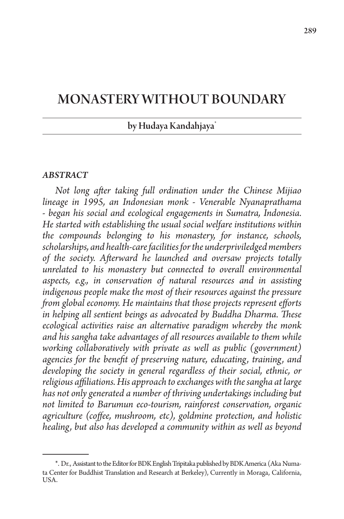# MONASTERY WITHOUT BOUNDARY

### by Hudaya Kandahjaya\*

#### *ABSTRACT*

*Not long after taking full ordination under the Chinese Mijiao lineage in 1995, an Indonesian monk - Venerable Nyanaprathama - began his social and ecological engagements in Sumatra, Indonesia. He started with establishing the usual social welfare institutions within the compounds belonging to his monastery, for instance, schools, scholarships, and health-care facilities for the underpriviledged members of the society. Afterward he launched and oversaw projects totally unrelated to his monastery but connected to overall environmental aspects, e.g., in conservation of natural resources and in assisting indigenous people make the most of their resources against the pressure from global economy. He maintains that those projects represent efforts in helping all sentient beings as advocated by Buddha Dharma. These ecological activities raise an alternative paradigm whereby the monk and his sangha take advantages of all resources available to them while working collaboratively with private as well as public (government) agencies for the benefit of preserving nature, educating, training, and developing the society in general regardless of their social, ethnic, or religious affiliations. His approach to exchanges with the sangha at large has not only generated a number of thriving undertakings including but not limited to Barumun eco-tourism, rainforest conservation, organic agriculture (coffee, mushroom, etc), goldmine protection, and holistic healing, but also has developed a community within as well as beyond* 

<sup>\*.</sup> Dr., Assistant to the Editor for BDK English Tripitaka published by BDK America (Aka Numata Center for Buddhist Translation and Research at Berkeley), Currently in Moraga, California, USA.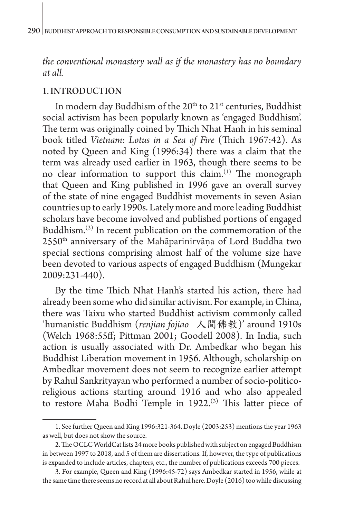*the conventional monastery wall as if the monastery has no boundary at all.*

#### 1. INTRODUCTION

In modern day Buddhism of the 20<sup>th</sup> to 21<sup>st</sup> centuries, Buddhist social activism has been popularly known as 'engaged Buddhism'. The term was originally coined by Thich Nhat Hanh in his seminal book titled *Vietnam*: *Lotus in a Sea of Fire* (Thich 1967:42). As noted by Queen and King (1996:34) there was a claim that the term was already used earlier in 1963, though there seems to be no clear information to support this claim.(1) The monograph that Queen and King published in 1996 gave an overall survey of the state of nine engaged Buddhist movements in seven Asian countries up to early 1990s. Lately more and more leading Buddhist scholars have become involved and published portions of engaged Buddhism.(2) In recent publication on the commemoration of the 2550th anniversary of the Mahāparinirvāṇa of Lord Buddha two special sections comprising almost half of the volume size have been devoted to various aspects of engaged Buddhism (Mungekar 2009:231-440).

By the time Thich Nhat Hanh's started his action, there had already been some who did similar activism. For example, in China, there was Taixu who started Buddhist activism commonly called 'humanistic Buddhism (*renjian fojiao* 人間佛教)' around 1910s (Welch 1968:55ff; Pittman 2001; Goodell 2008). In India, such action is usually associated with Dr. Ambedkar who began his Buddhist Liberation movement in 1956. Although, scholarship on Ambedkar movement does not seem to recognize earlier attempt by Rahul Sankrityayan who performed a number of socio-politicoreligious actions starting around 1916 and who also appealed to restore Maha Bodhi Temple in 1922.<sup>(3)</sup> This latter piece of

<sup>1.</sup> See further Queen and King 1996:321-364. Doyle (2003:253) mentions the year 1963 as well, but does not show the source.

<sup>2.</sup> The OCLC WorldCat lists 24 more books published with subject on engaged Buddhism in between 1997 to 2018, and 5 of them are dissertations. If, however, the type of publications is expanded to include articles, chapters, etc., the number of publications exceeds 700 pieces.

<sup>3.</sup> For example, Queen and King (1996:45-72) says Ambedkar started in 1956, while at the same time there seems no record at all about Rahul here. Doyle (2016) too while discussing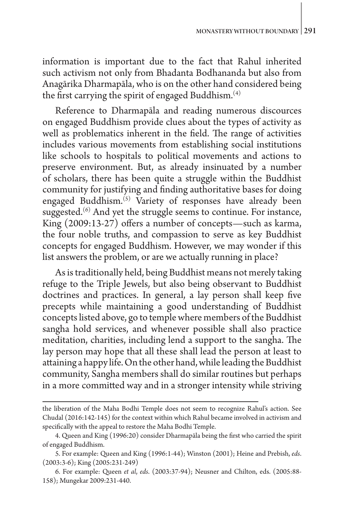information is important due to the fact that Rahul inherited such activism not only from Bhadanta Bodhananda but also from Anagārika Dharmapāla, who is on the other hand considered being the first carrying the spirit of engaged Buddhism.(4)

Reference to Dharmapāla and reading numerous discources on engaged Buddhism provide clues about the types of activity as well as problematics inherent in the field. The range of activities includes various movements from establishing social institutions like schools to hospitals to political movements and actions to preserve environment. But, as already insinuated by a number of scholars, there has been quite a struggle within the Buddhist community for justifying and finding authoritative bases for doing engaged Buddhism.<sup>(5)</sup> Variety of responses have already been suggested.<sup>(6)</sup> And yet the struggle seems to continue. For instance, King (2009:13-27) offers a number of concepts—such as karma, the four noble truths, and compassion to serve as key Buddhist concepts for engaged Buddhism. However, we may wonder if this list answers the problem, or are we actually running in place?

As is traditionally held, being Buddhist means not merely taking refuge to the Triple Jewels, but also being observant to Buddhist doctrines and practices. In general, a lay person shall keep five precepts while maintaining a good understanding of Buddhist concepts listed above, go to temple where members of the Buddhist sangha hold services, and whenever possible shall also practice meditation, charities, including lend a support to the sangha. The lay person may hope that all these shall lead the person at least to attaining a happy life. On the other hand, while leading the Buddhist community, Sangha members shall do similar routines but perhaps in a more committed way and in a stronger intensity while striving

the liberation of the Maha Bodhi Temple does not seem to recognize Rahul's action. See Chudal (2016:142-145) for the context within which Rahul became involved in activism and specifically with the appeal to restore the Maha Bodhi Temple.

<sup>4.</sup> Queen and King (1996:20) consider Dharmapāla being the first who carried the spirit of engaged Buddhism.

<sup>5.</sup> For example: Queen and King (1996:1-44); Winston (2001); Heine and Prebish, *eds*. (2003:3-6); King (2005:231-249)

<sup>6.</sup> For example: Queen *et al*, *eds*. (2003:37-94); Neusner and Chilton, eds. (2005:88- 158); Mungekar 2009:231-440.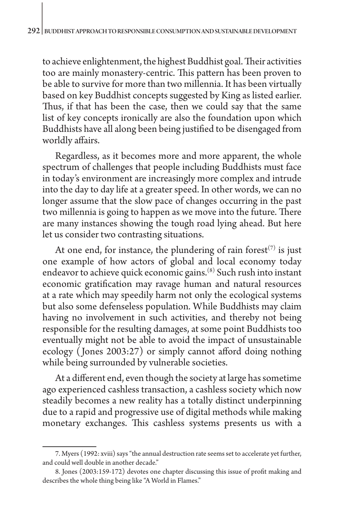to achieve enlightenment, the highest Buddhist goal. Their activities too are mainly monastery-centric. This pattern has been proven to be able to survive for more than two millennia. It has been virtually based on key Buddhist concepts suggested by King as listed earlier. Thus, if that has been the case, then we could say that the same list of key concepts ironically are also the foundation upon which Buddhists have all along been being justified to be disengaged from worldly affairs.

Regardless, as it becomes more and more apparent, the whole spectrum of challenges that people including Buddhists must face in today's environment are increasingly more complex and intrude into the day to day life at a greater speed. In other words, we can no longer assume that the slow pace of changes occurring in the past two millennia is going to happen as we move into the future. There are many instances showing the tough road lying ahead. But here let us consider two contrasting situations.

At one end, for instance, the plundering of rain forest<sup> $(7)$ </sup> is just one example of how actors of global and local economy today endeavor to achieve quick economic gains.(8) Such rush into instant economic gratification may ravage human and natural resources at a rate which may speedily harm not only the ecological systems but also some defenseless population. While Buddhists may claim having no involvement in such activities, and thereby not being responsible for the resulting damages, at some point Buddhists too eventually might not be able to avoid the impact of unsustainable ecology ( Jones 2003:27) or simply cannot afford doing nothing while being surrounded by vulnerable societies.

At a different end, even though the society at large has sometime ago experienced cashless transaction, a cashless society which now steadily becomes a new reality has a totally distinct underpinning due to a rapid and progressive use of digital methods while making monetary exchanges. This cashless systems presents us with a

<sup>7.</sup> Myers (1992: xviii) says "the annual destruction rate seems set to accelerate yet further, and could well double in another decade."

<sup>8.</sup> Jones (2003:159-172) devotes one chapter discussing this issue of profit making and describes the whole thing being like "A World in Flames."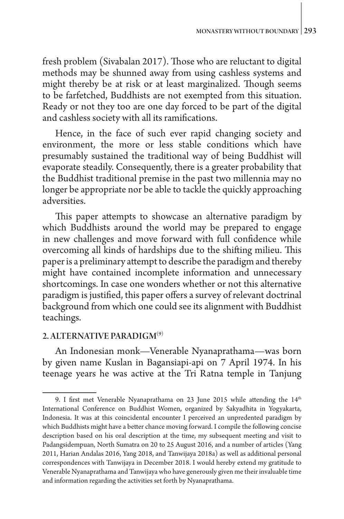fresh problem (Sivabalan 2017). Those who are reluctant to digital methods may be shunned away from using cashless systems and might thereby be at risk or at least marginalized. Though seems to be farfetched, Buddhists are not exempted from this situation. Ready or not they too are one day forced to be part of the digital and cashless society with all its ramifications.

Hence, in the face of such ever rapid changing society and environment, the more or less stable conditions which have presumably sustained the traditional way of being Buddhist will evaporate steadily. Consequently, there is a greater probability that the Buddhist traditional premise in the past two millennia may no longer be appropriate nor be able to tackle the quickly approaching adversities.

This paper attempts to showcase an alternative paradigm by which Buddhists around the world may be prepared to engage in new challenges and move forward with full confidence while overcoming all kinds of hardships due to the shifting milieu. This paper is a preliminary attempt to describe the paradigm and thereby might have contained incomplete information and unnecessary shortcomings. In case one wonders whether or not this alternative paradigm is justified, this paper offers a survey of relevant doctrinal background from which one could see its alignment with Buddhist teachings.

#### 2. ALTERNATIVE PARADIGM<sup>(9)</sup>

An Indonesian monk—Venerable Nyanaprathama—was born by given name Kuslan in Bagansiapi-api on 7 April 1974. In his teenage years he was active at the Tri Ratna temple in Tanjung

<sup>9.</sup> I first met Venerable Nyanaprathama on 23 June 2015 while attending the  $14<sup>th</sup>$ International Conference on Buddhist Women, organized by Sakyadhita in Yogyakarta, Indonesia. It was at this coincidental encounter I perceived an unpredented paradigm by which Buddhists might have a better chance moving forward. I compile the following concise description based on his oral description at the time, my subsequent meeting and visit to Padangsidempuan, North Sumatra on 20 to 25 August 2016, and a number of articles (Yang 2011, Harian Andalas 2016, Yang 2018, and Tanwijaya 2018a) as well as additional personal correspondences with Tanwijaya in December 2018. I would hereby extend my gratitude to Venerable Nyanaprathama and Tanwijaya who have generously given me their invaluable time and information regarding the activities set forth by Nyanaprathama.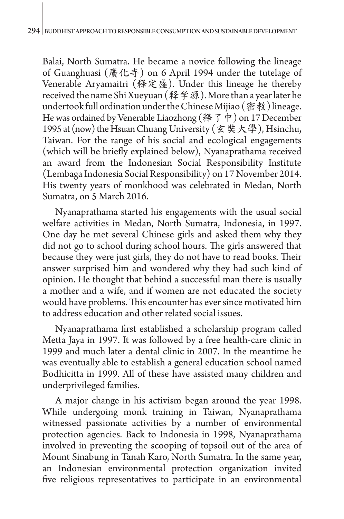Balai, North Sumatra. He became a novice following the lineage of Guanghuasi (廣化寺) on 6 April 1994 under the tutelage of Venerable Aryamaitri (释定盛). Under this lineage he thereby received the name Shi Xueyuan (释学源). More than a year later he undertook full ordination under the Chinese Mijiao (密教) lineage. He was ordained by Venerable Liaozhong (释了中) on 17 December 1995 at (now) the Hsuan Chuang University (玄奘大學), Hsinchu, Taiwan. For the range of his social and ecological engagements (which will be briefly explained below), Nyanaprathama received an award from the Indonesian Social Responsibility Institute (Lembaga Indonesia Social Responsibility) on 17 November 2014. His twenty years of monkhood was celebrated in Medan, North Sumatra, on 5 March 2016.

Nyanaprathama started his engagements with the usual social welfare activities in Medan, North Sumatra, Indonesia, in 1997. One day he met several Chinese girls and asked them why they did not go to school during school hours. The girls answered that because they were just girls, they do not have to read books. Their answer surprised him and wondered why they had such kind of opinion. He thought that behind a successful man there is usually a mother and a wife, and if women are not educated the society would have problems. This encounter has ever since motivated him to address education and other related social issues.

Nyanaprathama first established a scholarship program called Metta Jaya in 1997. It was followed by a free health-care clinic in 1999 and much later a dental clinic in 2007. In the meantime he was eventually able to establish a general education school named Bodhicitta in 1999. All of these have assisted many children and underprivileged families.

A major change in his activism began around the year 1998. While undergoing monk training in Taiwan, Nyanaprathama witnessed passionate activities by a number of environmental protection agencies. Back to Indonesia in 1998, Nyanaprathama involved in preventing the scooping of topsoil out of the area of Mount Sinabung in Tanah Karo, North Sumatra. In the same year, an Indonesian environmental protection organization invited five religious representatives to participate in an environmental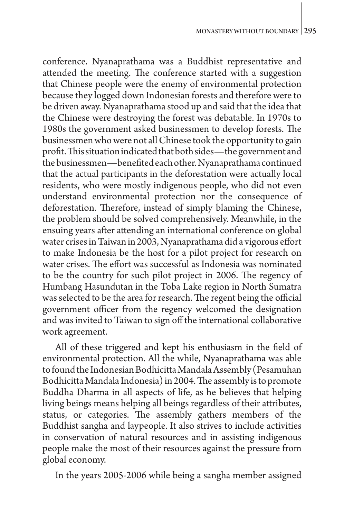conference. Nyanaprathama was a Buddhist representative and attended the meeting. The conference started with a suggestion that Chinese people were the enemy of environmental protection because they logged down Indonesian forests and therefore were to be driven away. Nyanaprathama stood up and said that the idea that the Chinese were destroying the forest was debatable. In 1970s to 1980s the government asked businessmen to develop forests. The businessmen who were not all Chinese took the opportunity to gain profit. This situation indicated that both sides—the government and the businessmen—benefited each other. Nyanaprathama continued that the actual participants in the deforestation were actually local residents, who were mostly indigenous people, who did not even understand environmental protection nor the consequence of deforestation. Therefore, instead of simply blaming the Chinese, the problem should be solved comprehensively. Meanwhile, in the ensuing years after attending an international conference on global water crises in Taiwan in 2003, Nyanaprathama did a vigorous effort to make Indonesia be the host for a pilot project for research on water crises. The effort was successful as Indonesia was nominated to be the country for such pilot project in 2006. The regency of Humbang Hasundutan in the Toba Lake region in North Sumatra was selected to be the area for research. The regent being the official government officer from the regency welcomed the designation and was invited to Taiwan to sign off the international collaborative work agreement.

All of these triggered and kept his enthusiasm in the field of environmental protection. All the while, Nyanaprathama was able to found the Indonesian Bodhicitta Mandala Assembly (Pesamuhan Bodhicitta Mandala Indonesia) in 2004. The assembly is to promote Buddha Dharma in all aspects of life, as he believes that helping living beings means helping all beings regardless of their attributes, status, or categories. The assembly gathers members of the Buddhist sangha and laypeople. It also strives to include activities in conservation of natural resources and in assisting indigenous people make the most of their resources against the pressure from global economy.

In the years 2005-2006 while being a sangha member assigned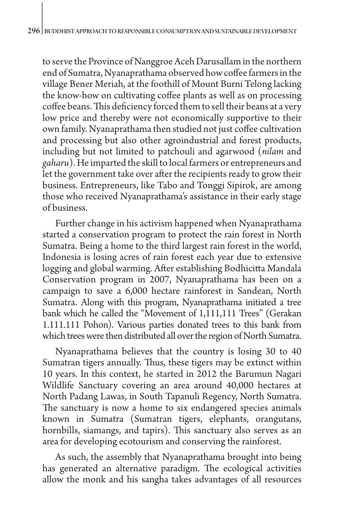to serve the Province of Nanggroe Aceh Darusallam in the northern end of Sumatra, Nyanaprathama observed how coffee farmers in the village Bener Meriah, at the foothill of Mount Burni Telong lacking the know-how on cultivating coffee plants as well as on processing coffee beans. This deficiency forced them to sell their beans at a very low price and thereby were not economically supportive to their own family. Nyanaprathama then studied not just coffee cultivation and processing but also other agroindustrial and forest products, including but not limited to patchouli and agarwood (*nilam* and *gaharu*). He imparted the skill to local farmers or entrepreneurs and let the government take over after the recipients ready to grow their business. Entrepreneurs, like Tabo and Tonggi Sipirok, are among those who received Nyanaprathama's assistance in their early stage of business.

Further change in his activism happened when Nyanaprathama started a conservation program to protect the rain forest in North Sumatra. Being a home to the third largest rain forest in the world, Indonesia is losing acres of rain forest each year due to extensive logging and global warming. After establishing Bodhicitta Mandala Conservation program in 2007, Nyanaprathama has been on a campaign to save a 6,000 hectare rainforest in Sandean, North Sumatra. Along with this program, Nyanaprathama initiated a tree bank which he called the "Movement of 1,111,111 Trees" (Gerakan 1.111.111 Pohon). Various parties donated trees to this bank from which trees were then distributed all over the region of North Sumatra.

Nyanaprathama believes that the country is losing 30 to 40 Sumatran tigers annually. Thus, these tigers may be extinct within 10 years. In this context, he started in 2012 the Barumun Nagari Wildlife Sanctuary covering an area around 40,000 hectares at North Padang Lawas, in South Tapanuli Regency, North Sumatra. The sanctuary is now a home to six endangered species animals known in Sumatra (Sumatran tigers, elephants, orangutans, hornbills, siamangs, and tapirs). This sanctuary also serves as an area for developing ecotourism and conserving the rainforest.

As such, the assembly that Nyanaprathama brought into being has generated an alternative paradigm. The ecological activities allow the monk and his sangha takes advantages of all resources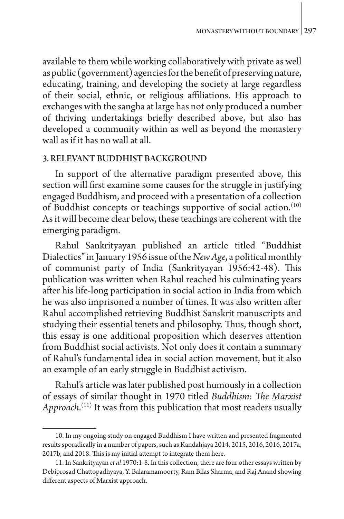available to them while working collaboratively with private as well as public (government) agencies for the benefit of preserving nature, educating, training, and developing the society at large regardless of their social, ethnic, or religious affiliations. His approach to exchanges with the sangha at large has not only produced a number of thriving undertakings briefly described above, but also has developed a community within as well as beyond the monastery wall as if it has no wall at all.

## 3. RELEVANT BUDDHIST BACKGROUND

In support of the alternative paradigm presented above, this section will first examine some causes for the struggle in justifying engaged Buddhism, and proceed with a presentation of a collection of Buddhist concepts or teachings supportive of social action.(10) As it will become clear below, these teachings are coherent with the emerging paradigm.

Rahul Sankrityayan published an article titled "Buddhist Dialectics" in January 1956 issue of the *New Age*, a political monthly of communist party of India (Sankrityayan 1956:42-48). This publication was written when Rahul reached his culminating years after his life-long participation in social action in India from which he was also imprisoned a number of times. It was also written after Rahul accomplished retrieving Buddhist Sanskrit manuscripts and studying their essential tenets and philosophy. Thus, though short, this essay is one additional proposition which deserves attention from Buddhist social activists. Not only does it contain a summary of Rahul's fundamental idea in social action movement, but it also an example of an early struggle in Buddhist activism.

Rahul's article was later published post humously in a collection of essays of similar thought in 1970 titled *Buddhism*: *The Marxist Approach*. (11) It was from this publication that most readers usually

<sup>10.</sup> In my ongoing study on engaged Buddhism I have written and presented fragmented results sporadically in a number of papers, such as Kandahjaya 2014, 2015, 2016, 2016, 2017a, 2017b, and 2018. This is my initial attempt to integrate them here.

<sup>11.</sup> In Sankrityayan *et al* 1970:1-8. In this collection, there are four other essays written by Debiprosad Chattopadhyaya, Y. Balaramamoorty, Ram Bilas Sharma, and Raj Anand showing different aspects of Marxist approach.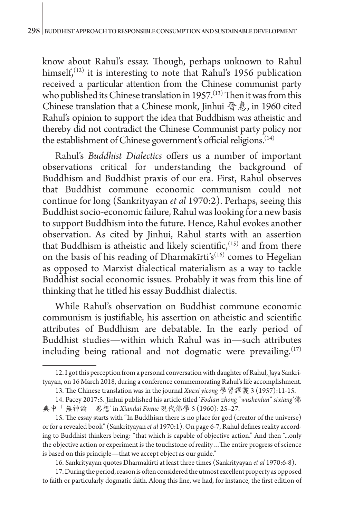know about Rahul's essay. Though, perhaps unknown to Rahul himself, $(12)$  it is interesting to note that Rahul's 1956 publication received a particular attention from the Chinese communist party who published its Chinese translation in 1957.<sup>(13)</sup> Then it was from this Chinese translation that a Chinese monk, Jinhui 晉惠, in 1960 cited Rahul's opinion to support the idea that Buddhism was atheistic and thereby did not contradict the Chinese Communist party policy nor the establishment of Chinese government's official religions.<sup>(14)</sup>

Rahul's *Buddhist Dialectics* offers us a number of important observations critical for understanding the background of Buddhism and Buddhist praxis of our era. First, Rahul observes that Buddhist commune economic communism could not continue for long (Sankrityayan *et al* 1970:2). Perhaps, seeing this Buddhist socio-economic failure, Rahul was looking for a new basis to support Buddhism into the future. Hence, Rahul evokes another observation. As cited by Jinhui, Rahul starts with an assertion that Buddhism is atheistic and likely scientific,  $(15)$  and from there on the basis of his reading of Dharmakīrti's<sup>(16)</sup> comes to Hegelian as opposed to Marxist dialectical materialism as a way to tackle Buddhist social economic issues. Probably it was from this line of thinking that he titled his essay Buddhist dialectis.

While Rahul's observation on Buddhist commune economic communism is justifiable, his assertion on atheistic and scientific attributes of Buddhism are debatable. In the early period of Buddhist studies—within which Rahul was in—such attributes including being rational and not dogmatic were prevailing.<sup>(17)</sup>

16. Sankrityayan quotes Dharmakīrti at least three times (Sankrityayan *et al* 1970:6-8).

17. During the period, reason is often considered the utmost excellent property as opposed to faith or particularly dogmatic faith. Along this line, we had, for instance, the first edition of

<sup>12.</sup> I got this perception from a personal conversation with daughter of Rahul, Jaya Sankrityayan, on 16 March 2018, during a conference commemorating Rahul's life accomplishment.

<sup>13.</sup> The Chinese translation was in the journal *Xuexi yicong* 學習譯叢 3 (1957):11-15.

<sup>14.</sup> Pacey 2017:5. Jinhui published his article titled '*Fodian zhong* "*wushenlun*" *sixiang*'佛 典中「無神論」思想' in *Xiandai Foxue* 現代佛學 5 (1960): 25–27.

<sup>15.</sup> The essay starts with "In Buddhism there is no place for god (creator of the universe) or for a revealed book" (Sankrityayan *et al* 1970:1). On page 6-7, Rahul defines reality according to Buddhist thinkers being: "that which is capable of objective action." And then "...only the objective action or experiment is the touchstone of reality…The entire progress of science is based on this principle—that we accept object as our guide."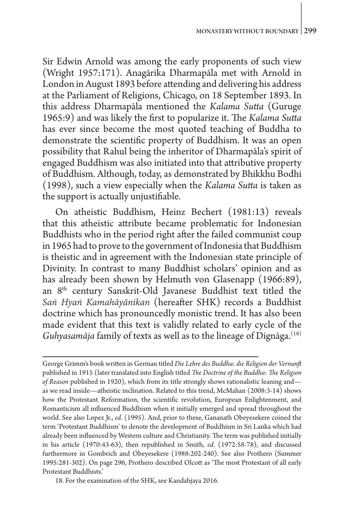Sir Edwin Arnold was among the early proponents of such view (Wright 1957:171). Anagārika Dharmapāla met with Arnold in London in August 1893 before attending and delivering his address at the Parliament of Religions, Chicago, on 18 September 1893. In this address Dharmapāla mentioned the *Kalama Sutta* (Guruge 1965:9) and was likely the first to popularize it. The *Kalama Sutta* has ever since become the most quoted teaching of Buddha to demonstrate the scientific property of Buddhism. It was an open possibility that Rahul being the inheritor of Dharmapāla's spirit of engaged Buddhism was also initiated into that attributive property of Buddhism. Although, today, as demonstrated by Bhikkhu Bodhi (1998), such a view especially when the *Kalama Sutta* is taken as the support is actually unjustifiable.

On atheistic Buddhism, Heinz Bechert (1981:13) reveals that this atheistic attribute became problematic for Indonesian Buddhists who in the period right after the failed communist coup in 1965 had to prove to the government of Indonesia that Buddhism is theistic and in agreement with the Indonesian state principle of Divinity. In contrast to many Buddhist scholars' opinion and as has already been shown by Helmuth von Glasenapp (1966:89), an 8th century Sanskrit-Old Javanese Buddhist text titled the *Saṅ Hyaṅ Kamahāyānikan* (hereafter SHK) records a Buddhist doctrine which has pronouncedly monistic trend. It has also been made evident that this text is validly related to early cycle of the Guhyasamāja family of texts as well as to the lineage of Dignāga.<sup>(18)</sup>

18. For the examination of the SHK, see Kandahjaya 2016.

George Grimm's book written in German titled *Die Lehre des Buddha*: *die Religion der Vernunft* published in 1915 (later translated into English titled *The Doctrine of the Buddha*: *The Religion of Reason* published in 1920), which from its title strongly shows rationalistic leaning and as we read inside—atheistic inclination. Related to this trend, McMahan (2008:3-14) shows how the Protestant Reformation, the scientific revolution, European Enlightenment, and Romanticism all influenced Buddhism when it initially emerged and spread throughout the world. See also Lopez Jr., *ed*. (1995). And, prior to these, Gananath Obeyesekere coined the term 'Protestant Buddhism' to denote the development of Buddhism in Sri Lanka which had already been influenced by Western culture and Christianity. The term was published initially in his article (1970:43-63), then republished in Smith, *ed*. (1972:58-78), and discussed furthermore in Gombrich and Obeyesekere (1988:202-240). See also Prothero (Summer 1995:281-302). On page 296, Prothero described Olcott as 'The most Protestant of all early Protestant Buddhists.'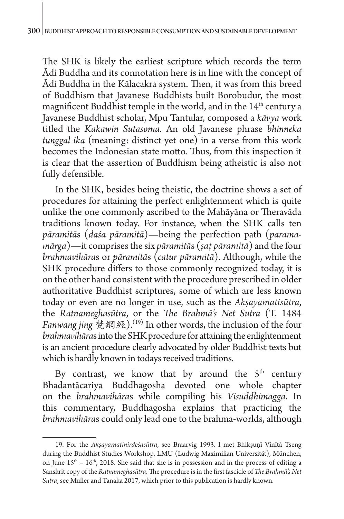The SHK is likely the earliest scripture which records the term Ādi Buddha and its connotation here is in line with the concept of Ādi Buddha in the Kālacakra system. Then, it was from this breed of Buddhism that Javanese Buddhists built Borobudur, the most magnificent Buddhist temple in the world, and in the 14<sup>th</sup> century a Javanese Buddhist scholar, Mpu Tantular, composed a *kāvya* work titled the *Kakawin Sutasoma*. An old Javanese phrase *bhinneka tunggal ika* (meaning: distinct yet one) in a verse from this work becomes the Indonesian state motto. Thus, from this inspection it is clear that the assertion of Buddhism being atheistic is also not fully defensible.

In the SHK, besides being theistic, the doctrine shows a set of procedures for attaining the perfect enlightenment which is quite unlike the one commonly ascribed to the Mahāyāna or Theravāda traditions known today. For instance, when the SHK calls ten *pāramitā*s (*daśa pāramitā*)—being the perfection path (*paramamārga*)—it comprises the six *pāramitā*s (*ṣaṭ pāramitā*) and the four *brahmavihāra*s or *pāramitā*s (*catur pāramitā*). Although, while the SHK procedure differs to those commonly recognized today, it is on the other hand consistent with the procedure prescribed in older authoritative Buddhist scriptures, some of which are less known today or even are no longer in use, such as the *Akṣayamatisūtra*, the *Ratnameghasūtra*, or the *The Brahmā's Net Sutra* (T. 1484 *Fanwang jing* 梵網經).(19) In other words, the inclusion of the four *brahmavihāra*s into the SHK procedure for attaining the enlightenment is an ancient procedure clearly advocated by older Buddhist texts but which is hardly known in todays received traditions.

By contrast, we know that by around the  $5<sup>th</sup>$  century Bhadantācariya Buddhagosha devoted one whole chapter on the *brahmavihāra*s while compiling his *Visuddhimagga*. In this commentary, Buddhagosha explains that practicing the *brahmavihāra*s could only lead one to the brahma-worlds, although

<sup>19.</sup> For the *Akṣayamatinirdeśasūtra*, see Braarvig 1993. I met Bhikṣuṇī Vinītā Tseng during the Buddhist Studies Workshop, LMU (Ludwig Maximilian Universität), München, on June  $15<sup>th</sup> - 16<sup>th</sup>$ , 2018. She said that she is in possession and in the process of editing a Sanskrit copy of the *Ratnameghasūtra*. The procedure is in the first fascicle of *The Brahmā's Net Sutra*, see Muller and Tanaka 2017, which prior to this publication is hardly known.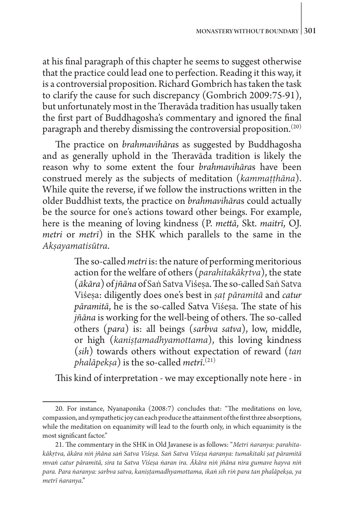at his final paragraph of this chapter he seems to suggest otherwise that the practice could lead one to perfection. Reading it this way, it is a controversial proposition. Richard Gombrich has taken the task to clarify the cause for such discrepancy (Gombrich 2009:75-91), but unfortunately most in the Theravāda tradition has usually taken the first part of Buddhagosha's commentary and ignored the final paragraph and thereby dismissing the controversial proposition.<sup>(20)</sup>

The practice on *brahmavihāra*s as suggested by Buddhagosha and as generally uphold in the Theravāda tradition is likely the reason why to some extent the four *brahmavihāra*s have been construed merely as the subjects of meditation (*kammaṭṭhāna*). While quite the reverse, if we follow the instructions written in the older Buddhist texts, the practice on *brahmavihāra*s could actually be the source for one's actions toward other beings. For example, here is the meaning of loving kindness (P. *mettā*, Skt. *maitrī*, OJ. *metri* or *metrī*) in the SHK which parallels to the same in the *Akṣayamatisūtra*.

> The so-called *metri* is: the nature of performing meritorious action for the welfare of others (*parahitakākṛtva*), the state (*ākāra*) of *jñāna* of Saṅ Satva Viśeṣa. The so-called Saṅ Satva Viśeṣa: diligently does one's best in *ṣaṭ pāramitā* and *catur pāramitā*, he is the so-called Satva Viśeṣa. The state of his *jñāna* is working for the well-being of others. The so-called others (*para*) is: all beings (*sarbva satva*), low, middle, or high (*kaniṣṭamadhyamottama*), this loving kindness (*sih*) towards others without expectation of reward (*tan phalāpekṣa*) is the so-called *metrī*. (21)

This kind of interpretation - we may exceptionally note here - in

<sup>20.</sup> For instance, Nyanaponika (2008:7) concludes that: "The meditations on love, compassion, and sympathetic joy can each produce the attainment of the first three absorptions, while the meditation on equanimity will lead to the fourth only, in which equanimity is the most significant factor."

<sup>21.</sup> The commentary in the SHK in Old Javanese is as follows: "*Metri ṅaranya: parahitakākṛtva, ākāra niṅ jñāna saṅ Satva Viśeṣa. Saṅ Satva Viśeṣa ṅaranya: tumakitaki ṣaṭ pāramitā mvaṅ catur pāramitā, sira ta Satva Viśeṣa ṅaran ira. Ākāra niṅ jñāna nira gumave hayva niṅ para. Para ṅaranya: sarbva satva, kaniṣṭamadhyamottama, ikaṅ sih riṅ para tan phalāpekṣa, ya metrī ṅaranya*."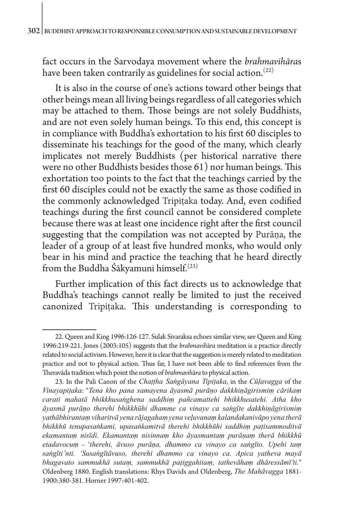fact occurs in the Sarvodaya movement where the *brahmavihāra*s have been taken contrarily as guidelines for social action.<sup> $(22)$ </sup>

It is also in the course of one's actions toward other beings that other beings mean all living beings regardless of all categories which may be attached to them. Those beings are not solely Buddhists, and are not even solely human beings. To this end, this concept is in compliance with Buddha's exhortation to his first 60 disciples to disseminate his teachings for the good of the many, which clearly implicates not merely Buddhists (per historical narrative there were no other Buddhists besides those 61) nor human beings. This exhortation too points to the fact that the teachings carried by the first 60 disciples could not be exactly the same as those codified in the commonly acknowledged Tripiṭaka today. And, even codified teachings during the first council cannot be considered complete because there was at least one incidence right after the first council suggesting that the compilation was not accepted by Purāṇa, the leader of a group of at least five hundred monks, who would only bear in his mind and practice the teaching that he heard directly from the Buddha Śākyamuni himself.<sup>(23)</sup>

Further implication of this fact directs us to acknowledge that Buddha's teachings cannot really be limited to just the received canonized Tripiṭaka. This understanding is corresponding to

<sup>22.</sup> Queen and King 1996:126-127. Sulak Sivaraksa echoes similar view, see Queen and King 1996:219-221. Jones (2003:105) suggests that the *brahmavih*ā*ra* meditation is a practice directly related to social activism. However, here it is clear that the suggestion is merely related to meditation practice and not to physical action. Thus far, I have not been able to find references from the Theravāda tradition which point the notion of *brahmavih*ā*ra* to physical action.

<sup>23.</sup> In the Pali Canon of the *Chaṭṭha Saṅgāyana Tipiṭaka*, in the *Cūḷavagga* of the *Vinayapiṭaka*: "*Tena kho pana samayena āyasmā purāṇo dakkhiṇāgirismiṃ cārikaṃ carati mahatā bhikkhusaṅghena saddhiṃ pañcamattehi bhikkhusatehi. Atha kho āyasmā purāṇo therehi bhikkhūhi dhamme ca vinaye ca saṅgīte dakkhiṇāgirismiṃ yathābhirantaṃ viharitvā yena rājagahaṃ yena veḷuvanaṃ kalandakanivāpo yena therā bhikkhū tenupasaṅkami, upasaṅkamitvā therehi bhikkhūhi saddhiṃ paṭisammoditvā ekamantaṃ nisīdi. Ekamantaṃ nisinnaṃ kho āyasmantaṃ purāṇaṃ therā bhikkhū etadavocuṃ* – '*therehi, āvuso purāṇa, dhammo ca vinayo ca saṅgīto. Upehi taṃ saṅgīti'nti. 'Susaṅgītāvuso, therehi dhammo ca vinayo ca. Apica yatheva mayā bhagavato sammukhā sutaṃ, sammukhā paṭiggahitaṃ, tathevāhaṃ dhāressāmī'ti.*" Oldenberg 1880. English translations: Rhys Davids and Oldenberg, *The Mahāvagga* 1881- 1900:380-381. Horner 1997:401-402.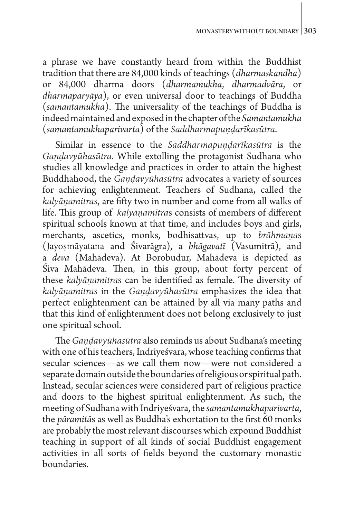a phrase we have constantly heard from within the Buddhist tradition that there are 84,000 kinds of teachings (*dharmaskandha*) or 84,000 dharma doors (*dharmamukha*, *dharmadvāra*, or *dharmaparyāya*), or even universal door to teachings of Buddha (*samantamukha*). The universality of the teachings of Buddha is indeed maintained and exposed in the chapter of the *Samantamukha* (*samantamukhaparivarta*) of the *Saddharmapuṇḍarīkasūtra*.

Similar in essence to the *Saddharmapuṇḍarīkasūtra* is the *Gaṇḍavyūhasūtra*. While extolling the protagonist Sudhana who studies all knowledge and practices in order to attain the highest Buddhahood, the *Gaṇḍavyūhasūtra* advocates a variety of sources for achieving enlightenment. Teachers of Sudhana, called the *kalyāṇamitra*s, are fifty two in number and come from all walks of life. This group of *kalyāṇamitra*s consists of members of different spiritual schools known at that time, and includes boys and girls, merchants, ascetics, monks, bodhisattvas, up to *brāhmaṇa*s (Jayoṣmāyatana and Śivarāgra), a *bhāgavatī* (Vasumitrā), and a *deva* (Mahādeva). At Borobudur, Mahādeva is depicted as Śiva Mahādeva. Then, in this group, about forty percent of these *kalyāṇamitra*s can be identified as female. The diversity of *kalyāṇamitra*s in the *Gaṇḍavyūhasūtra* emphasizes the idea that perfect enlightenment can be attained by all via many paths and that this kind of enlightenment does not belong exclusively to just one spiritual school.

The *Gaṇḍavyūhasūtra* also reminds us about Sudhana's meeting with one of his teachers, Indriyeśvara, whose teaching confirms that secular sciences—as we call them now—were not considered a separate domain outside the boundaries of religious or spiritual path. Instead, secular sciences were considered part of religious practice and doors to the highest spiritual enlightenment. As such, the meeting of Sudhana with Indriyeśvara, the *samantamukhaparivarta*, the *pāramitā*s as well as Buddha's exhortation to the first 60 monks are probably the most relevant discourses which expound Buddhist teaching in support of all kinds of social Buddhist engagement activities in all sorts of fields beyond the customary monastic boundaries.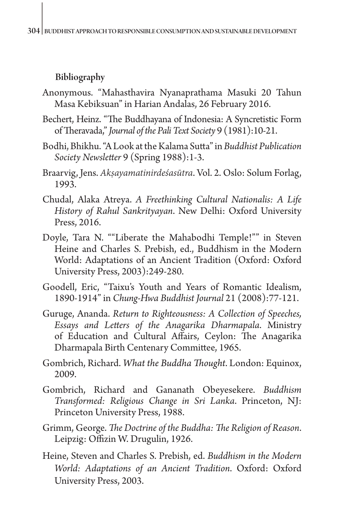## Bibliography

- Anonymous. "Mahasthavira Nyanaprathama Masuki 20 Tahun Masa Kebiksuan" in Harian Andalas, 26 February 2016.
- Bechert, Heinz. "The Buddhayana of Indonesia: A Syncretistic Form of Theravada," *Journal of the Pali Text Society* 9 (1981):10-21.
- Bodhi, Bhikhu. "A Look at the Kalama Sutta" in *Buddhist Publication Society Newsletter* 9 (Spring 1988):1-3.
- Braarvig, Jens. *Akṣayamatinirdeśasūtra*. Vol. 2. Oslo: Solum Forlag, 1993.
- Chudal, Alaka Atreya. *A Freethinking Cultural Nationalis: A Life History of Rahul Sankrityayan*. New Delhi: Oxford University Press, 2016.
- Doyle, Tara N. ""Liberate the Mahabodhi Temple!"" in Steven Heine and Charles S. Prebish, ed., Buddhism in the Modern World: Adaptations of an Ancient Tradition (Oxford: Oxford University Press, 2003):249-280.
- Goodell, Eric, "Taixu's Youth and Years of Romantic Idealism, 1890-1914" in *Chung-Hwa Buddhist Journal* 21 (2008):77-121.
- Guruge, Ananda. *Return to Righteousness: A Collection of Speeches, Essays and Letters of the Anagarika Dharmapala*. Ministry of Education and Cultural Affairs, Ceylon: The Anagarika Dharmapala Birth Centenary Committee, 1965.
- Gombrich, Richard. *What the Buddha Thought*. London: Equinox, 2009.
- Gombrich, Richard and Gananath Obeyesekere. *Buddhism Transformed: Religious Change in Sri Lanka*. Princeton, NJ: Princeton University Press, 1988.
- Grimm, George. *The Doctrine of the Buddha: The Religion of Reason*. Leipzig: Offizin W. Drugulin, 1926.
- Heine, Steven and Charles S. Prebish, ed. *Buddhism in the Modern World: Adaptations of an Ancient Tradition*. Oxford: Oxford University Press, 2003.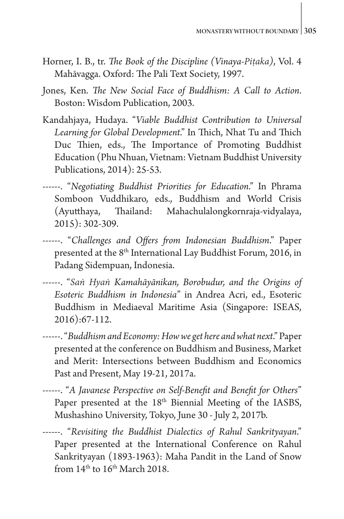- Horner, I. B., tr. *The Book of the Discipline (Vinaya-Piṭaka)*, Vol. 4 Mahāvagga. Oxford: The Pali Text Society, 1997.
- Jones, Ken. *The New Social Face of Buddhism: A Call to Action*. Boston: Wisdom Publication, 2003.
- Kandahjaya, Hudaya. "*Viable Buddhist Contribution to Universal Learning for Global Development*." In Thich, Nhat Tu and Thich Duc Thien, eds., The Importance of Promoting Buddhist Education (Phu Nhuan, Vietnam: Vietnam Buddhist University Publications, 2014): 25-53.
- ------. "*Negotiating Buddhist Priorities for Education*." In Phrama Somboon Vuddhikaro, eds., Buddhism and World Crisis (Ayutthaya, Thailand: Mahachulalongkornraja-vidyalaya, 2015): 302-309.
- ------. "*Challenges and Offers from Indonesian Buddhism*." Paper presented at the 8<sup>th</sup> International Lay Buddhist Forum, 2016, in Padang Sidempuan, Indonesia.
- ------. "*Saṅ Hyaṅ Kamahāyānikan, Borobudur, and the Origins of Esoteric Buddhism in Indonesia*" in Andrea Acri, ed., Esoteric Buddhism in Mediaeval Maritime Asia (Singapore: ISEAS, 2016):67-112.
- ------. "*Buddhism and Economy: How we get here and what next*." Paper presented at the conference on Buddhism and Business, Market and Merit: Intersections between Buddhism and Economics Past and Present, May 19-21, 2017a.
- ------. "*A Javanese Perspective on Self-Benefit and Benefit for Others*" Paper presented at the 18<sup>th</sup> Biennial Meeting of the IASBS, Mushashino University, Tokyo, June 30 - July 2, 2017b.
- ------. "*Revisiting the Buddhist Dialectics of Rahul Sankrityayan*." Paper presented at the International Conference on Rahul Sankrityayan (1893-1963): Maha Pandit in the Land of Snow from  $14<sup>th</sup>$  to  $16<sup>th</sup>$  March 2018.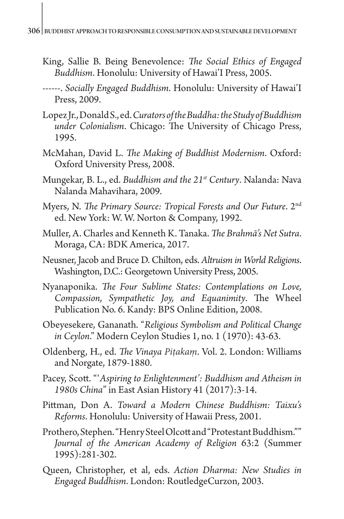- King, Sallie B. Being Benevolence: *The Social Ethics of Engaged Buddhism*. Honolulu: University of Hawai'I Press, 2005.
- ------. *Socially Engaged Buddhism*. Honolulu: University of Hawai'I Press, 2009.
- Lopez Jr., Donald S., ed. *Curators of the Buddha: the Study of Buddhism under Colonialism*. Chicago: The University of Chicago Press, 1995.
- McMahan, David L. *The Making of Buddhist Modernism*. Oxford: Oxford University Press, 2008.
- Mungekar, B. L., ed. *Buddhism and the 21st Century*. Nalanda: Nava Nalanda Mahavihara, 2009.
- Myers, N. *The Primary Source: Tropical Forests and Our Future*. 2nd ed. New York: W. W. Norton & Company, 1992.
- Muller, A. Charles and Kenneth K. Tanaka. *The Brahmā's Net Sutra*. Moraga, CA: BDK America, 2017.
- Neusner, Jacob and Bruce D. Chilton, eds. *Altruism in World Religions*. Washington, D.C.: Georgetown University Press, 2005.
- Nyanaponika. *The Four Sublime States: Contemplations on Love, Compassion, Sympathetic Joy, and Equanimity*. The Wheel Publication No. 6. Kandy: BPS Online Edition, 2008.
- Obeyesekere, Gananath. "*Religious Symbolism and Political Change in Ceylon*." Modern Ceylon Studies 1, no. 1 (1970): 43-63.
- Oldenberg, H., ed. *The Vinaya Piṭakaṃ*. Vol. 2. London: Williams and Norgate, 1879-1880.
- Pacey, Scott. "ʻ*Aspiring to Enlightenment': Buddhism and Atheism in 1980s China*" in East Asian History 41 (2017):3-14.
- Pittman, Don A. *Toward a Modern Chinese Buddhism: Taixu's Reforms*. Honolulu: University of Hawaii Press, 2001.
- Prothero, Stephen. "Henry Steel Olcott and "Protestant Buddhism."" *Journal of the American Academy of Religion* 63:2 (Summer 1995):281-302.
- Queen, Christopher, et al, eds. *Action Dharma: New Studies in Engaged Buddhism*. London: RoutledgeCurzon, 2003.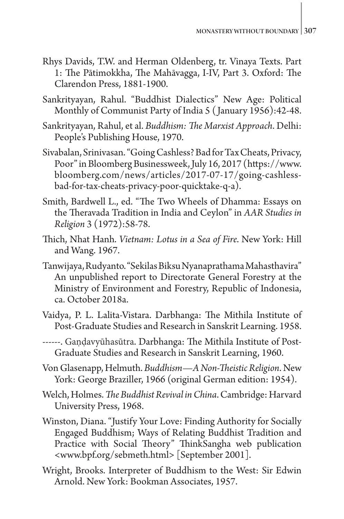- Rhys Davids, T.W. and Herman Oldenberg, tr. Vinaya Texts. Part 1: The Pātimokkha, The Mahāvagga, I-IV, Part 3. Oxford: The Clarendon Press, 1881-1900.
- Sankrityayan, Rahul. "Buddhist Dialectics" New Age: Political Monthly of Communist Party of India 5 ( January 1956):42-48.
- Sankrityayan, Rahul, et al. *Buddhism: The Marxist Approach*. Delhi: People's Publishing House, 1970.
- Sivabalan, Srinivasan. "Going Cashless? Bad for Tax Cheats, Privacy, Poor" in Bloomberg Businessweek, July 16, 2017 (https://www. bloomberg.com/news/articles/2017-07-17/going-cashlessbad-for-tax-cheats-privacy-poor-quicktake-q-a).
- Smith, Bardwell L., ed. "The Two Wheels of Dhamma: Essays on the Theravada Tradition in India and Ceylon" in *AAR Studies in Religion* 3 (1972):58-78.
- Thich, Nhat Hanh. *Vietnam: Lotus in a Sea of Fire*. New York: Hill and Wang. 1967.
- Tanwijaya, Rudyanto. "Sekilas Biksu Nyanaprathama Mahasthavira" An unpublished report to Directorate General Forestry at the Ministry of Environment and Forestry, Republic of Indonesia, ca. October 2018a.
- Vaidya, P. L. Lalita-Vistara. Darbhanga: The Mithila Institute of Post-Graduate Studies and Research in Sanskrit Learning. 1958.
- ------. Gaṇḍavyūhasūtra. Darbhanga: The Mithila Institute of Post-Graduate Studies and Research in Sanskrit Learning, 1960.
- Von Glasenapp, Helmuth. *Buddhism—A Non-Theistic Religion*. New York: George Braziller, 1966 (original German edition: 1954).
- Welch, Holmes. *The Buddhist Revival in China*. Cambridge: Harvard University Press, 1968.
- Winston, Diana. "Justify Your Love: Finding Authority for Socially Engaged Buddhism; Ways of Relating Buddhist Tradition and Practice with Social Theory" ThinkSangha web publication <www.bpf.org/sebmeth.html> [September 2001].
- Wright, Brooks. Interpreter of Buddhism to the West: Sir Edwin Arnold. New York: Bookman Associates, 1957.